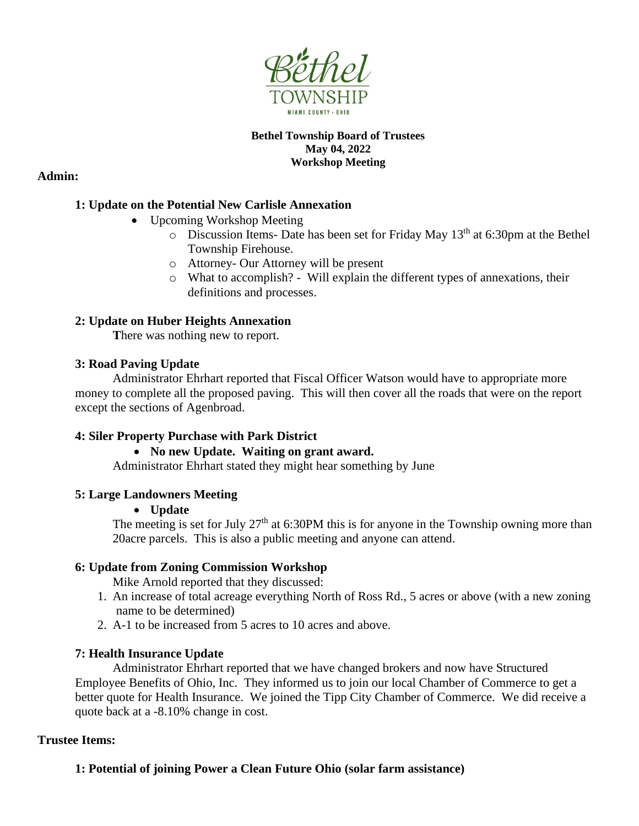

#### **Bethel Township Board of Trustees May 04, 2022 Workshop Meeting**

### **Admin:**

## **1: Update on the Potential New Carlisle Annexation**

- Upcoming Workshop Meeting
	- $\circ$  Discussion Items- Date has been set for Friday May 13<sup>th</sup> at 6:30pm at the Bethel Township Firehouse.
	- o Attorney- Our Attorney will be present
	- o What to accomplish? Will explain the different types of annexations, their definitions and processes.

### **2: Update on Huber Heights Annexation**

**T**here was nothing new to report.

### **3: Road Paving Update**

Administrator Ehrhart reported that Fiscal Officer Watson would have to appropriate more money to complete all the proposed paving. This will then cover all the roads that were on the report except the sections of Agenbroad.

### **4: Siler Property Purchase with Park District**

### • **No new Update. Waiting on grant award.**

Administrator Ehrhart stated they might hear something by June

### **5: Large Landowners Meeting**

### • **Update**

The meeting is set for July  $27<sup>th</sup>$  at 6:30PM this is for anyone in the Township owning more than 20acre parcels. This is also a public meeting and anyone can attend.

### **6: Update from Zoning Commission Workshop**

Mike Arnold reported that they discussed:

- 1. An increase of total acreage everything North of Ross Rd., 5 acres or above (with a new zoning name to be determined)
- 2. A-1 to be increased from 5 acres to 10 acres and above.

### **7: Health Insurance Update**

Administrator Ehrhart reported that we have changed brokers and now have Structured Employee Benefits of Ohio, Inc. They informed us to join our local Chamber of Commerce to get a better quote for Health Insurance. We joined the Tipp City Chamber of Commerce. We did receive a quote back at a -8.10% change in cost.

### **Trustee Items:**

# **1: Potential of joining Power a Clean Future Ohio (solar farm assistance)**